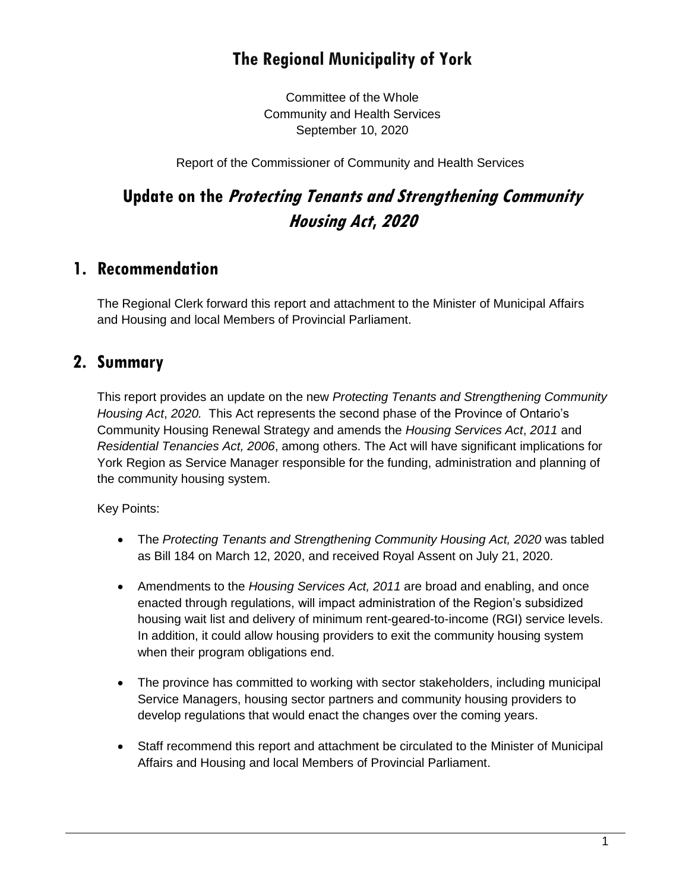# **The Regional Municipality of York**

Committee of the Whole Community and Health Services September 10, 2020

Report of the Commissioner of Community and Health Services

# **Update on the Protecting Tenants and Strengthening Community Housing Act, <sup>2020</sup>**

## **1. Recommendation**

The Regional Clerk forward this report and attachment to the Minister of Municipal Affairs and Housing and local Members of Provincial Parliament.

### **2. Summary**

This report provides an update on the new *Protecting Tenants and Strengthening Community Housing Act*, *2020.* This Act represents the second phase of the Province of Ontario's Community Housing Renewal Strategy and amends the *Housing Services Act*, *2011* and *Residential Tenancies Act, 2006*, among others. The Act will have significant implications for York Region as Service Manager responsible for the funding, administration and planning of the community housing system.

Key Points:

- The *Protecting Tenants and Strengthening Community Housing Act, 2020* was tabled as Bill 184 on March 12, 2020, and received Royal Assent on July 21, 2020.
- Amendments to the *Housing Services Act, 2011* are broad and enabling, and once enacted through regulations, will impact administration of the Region's subsidized housing wait list and delivery of minimum rent-geared-to-income (RGI) service levels. In addition, it could allow housing providers to exit the community housing system when their program obligations end.
- The province has committed to working with sector stakeholders, including municipal Service Managers, housing sector partners and community housing providers to develop regulations that would enact the changes over the coming years.
- Staff recommend this report and attachment be circulated to the Minister of Municipal Affairs and Housing and local Members of Provincial Parliament.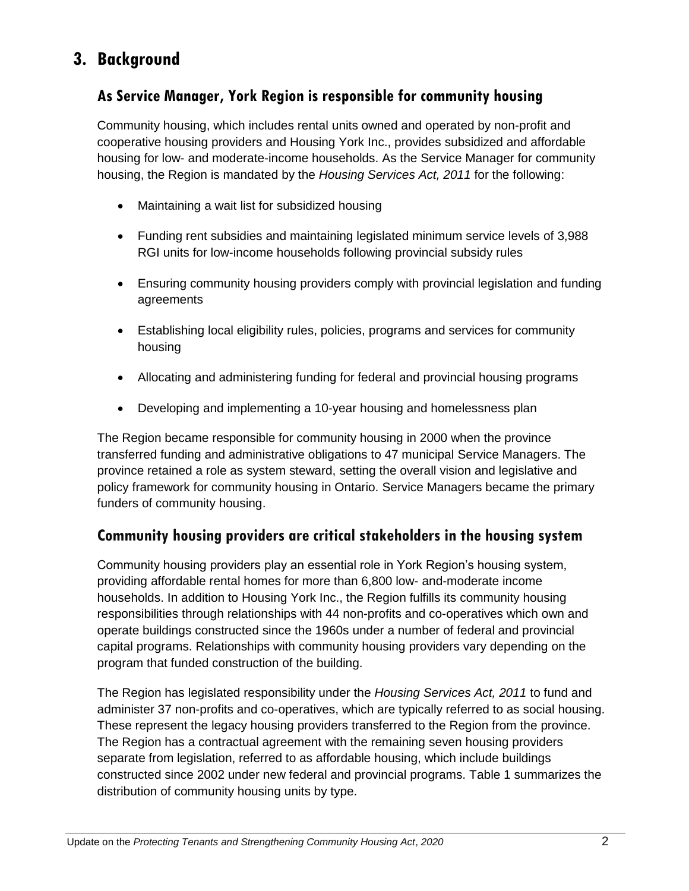## **3. Background**

#### **As Service Manager, York Region is responsible for community housing**

Community housing, which includes rental units owned and operated by non-profit and cooperative housing providers and Housing York Inc., provides subsidized and affordable housing for low- and moderate-income households. As the Service Manager for community housing, the Region is mandated by the *Housing Services Act, 2011* for the following:

- Maintaining a wait list for subsidized housing
- Funding rent subsidies and maintaining legislated minimum service levels of 3,988 RGI units for low-income households following provincial subsidy rules
- Ensuring community housing providers comply with provincial legislation and funding agreements
- Establishing local eligibility rules, policies, programs and services for community housing
- Allocating and administering funding for federal and provincial housing programs
- Developing and implementing a 10-year housing and homelessness plan

The Region became responsible for community housing in 2000 when the province transferred funding and administrative obligations to 47 municipal Service Managers. The province retained a role as system steward, setting the overall vision and legislative and policy framework for community housing in Ontario. Service Managers became the primary funders of community housing.

#### **Community housing providers are critical stakeholders in the housing system**

Community housing providers play an essential role in York Region's housing system, providing affordable rental homes for more than 6,800 low- and-moderate income households. In addition to Housing York Inc., the Region fulfills its community housing responsibilities through relationships with 44 non-profits and co-operatives which own and operate buildings constructed since the 1960s under a number of federal and provincial capital programs. Relationships with community housing providers vary depending on the program that funded construction of the building.

The Region has legislated responsibility under the *Housing Services Act, 2011* to fund and administer 37 non-profits and co-operatives, which are typically referred to as social housing. These represent the legacy housing providers transferred to the Region from the province. The Region has a contractual agreement with the remaining seven housing providers separate from legislation, referred to as affordable housing, which include buildings constructed since 2002 under new federal and provincial programs. Table 1 summarizes the distribution of community housing units by type.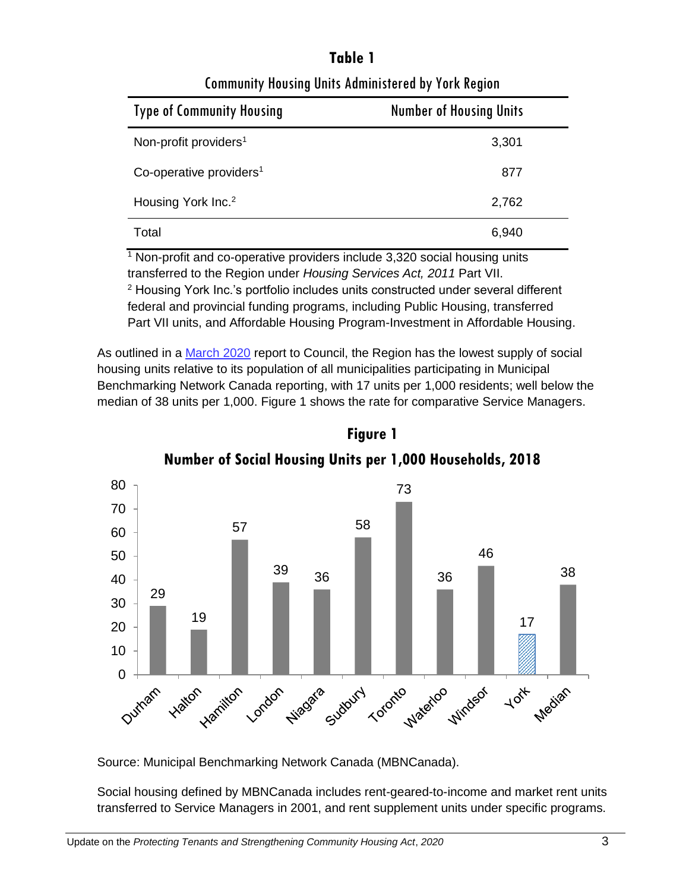# **Table 1**

| <b>Type of Community Housing</b>    | <b>Number of Housing Units</b> |
|-------------------------------------|--------------------------------|
| Non-profit providers <sup>1</sup>   | 3,301                          |
| Co-operative providers <sup>1</sup> | 877                            |
| Housing York Inc. <sup>2</sup>      | 2,762                          |
| Total                               | 6,940                          |

Community Housing Units Administered by York Region

 $1$  Non-profit and co-operative providers include 3,320 social housing units transferred to the Region under *Housing Services Act, 2011* Part VII.

<sup>2</sup> Housing York Inc.'s portfolio includes units constructed under several different federal and provincial funding programs, including Public Housing, transferred Part VII units, and Affordable Housing Program-Investment in Affordable Housing.

As outlined in a [March 2020](https://yorkpublishing.escribemeetings.com/filestream.ashx?DocumentId=10841) report to Council, the Region has the lowest supply of social housing units relative to its population of all municipalities participating in Municipal Benchmarking Network Canada reporting, with 17 units per 1,000 residents; well below the median of 38 units per 1,000. Figure 1 shows the rate for comparative Service Managers.



**Number of Social Housing Units per 1,000 Households, 2018**

**Figure 1**

Source: Municipal Benchmarking Network Canada (MBNCanada).

Social housing defined by MBNCanada includes rent-geared-to-income and market rent units transferred to Service Managers in 2001, and rent supplement units under specific programs.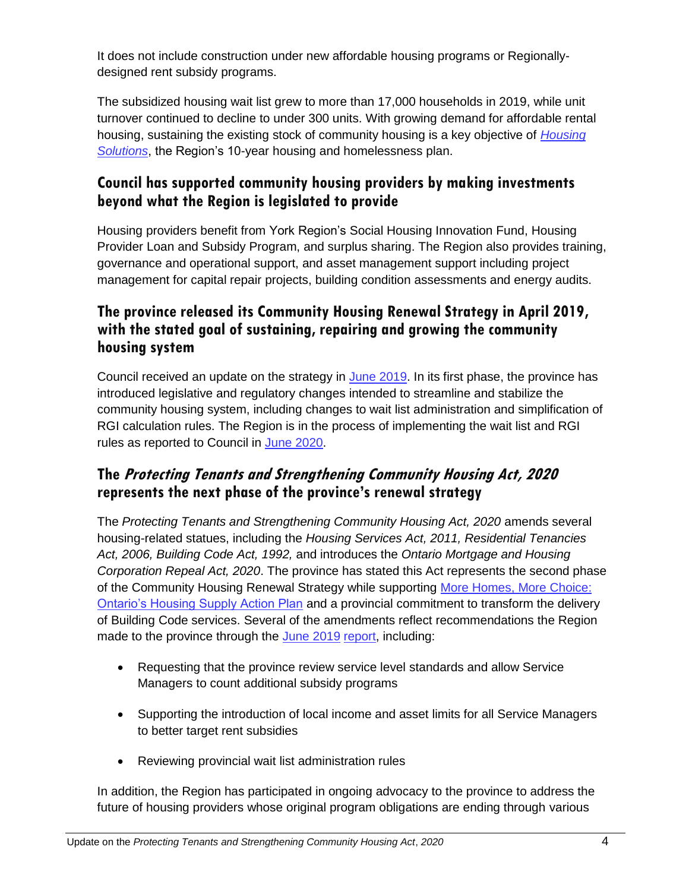It does not include construction under new affordable housing programs or Regionallydesigned rent subsidy programs.

The subsidized housing wait list grew to more than 17,000 households in 2019, while unit turnover continued to decline to under 300 units. With growing demand for affordable rental housing, sustaining the existing stock of community housing is a key objective of *[Housing](https://www.york.ca/wps/wcm/connect/yorkpublic/f5710944-144c-402c-ba60-64bd520dc359/Housing+Solutions+Phase+2+Plan%2C+2019+to+2023.pdf?MOD=AJPERES&CVID=mTLI.du)  [Solutions](https://www.york.ca/wps/wcm/connect/yorkpublic/f5710944-144c-402c-ba60-64bd520dc359/Housing+Solutions+Phase+2+Plan%2C+2019+to+2023.pdf?MOD=AJPERES&CVID=mTLI.du)*, the Region's 10-year housing and homelessness plan.

#### **Council has supported community housing providers by making investments beyond what the Region is legislated to provide**

Housing providers benefit from York Region's Social Housing Innovation Fund, Housing Provider Loan and Subsidy Program, and surplus sharing. The Region also provides training, governance and operational support, and asset management support including project management for capital repair projects, building condition assessments and energy audits.

#### **The province released its Community Housing Renewal Strategy in April 2019, with the stated goal of sustaining, repairing and growing the community housing system**

Council received an update on the strategy in [June 2019.](https://yorkpublishing.escribemeetings.com/filestream.ashx?DocumentId=7502) In its first phase, the province has introduced legislative and regulatory changes intended to streamline and stabilize the community housing system, including changes to wait list administration and simplification of RGI calculation rules. The Region is in the process of implementing the wait list and RGI rules as reported to Council in [June 2020.](https://yorkpublishing.escribemeetings.com/filestream.ashx?DocumentId=13025)

#### **The Protecting Tenants and Strengthening Community Housing Act, 2020 represents the next phase of the province's renewal strategy**

The *Protecting Tenants and Strengthening Community Housing Act, 2020* amends several housing-related statues, including the *Housing Services Act, 2011, Residential Tenancies Act, 2006, Building Code Act, 1992,* and introduces the *Ontario Mortgage and Housing Corporation Repeal Act, 2020*. The province has stated this Act represents the second phase of the Community Housing Renewal Strategy while supporting More Homes, More Choice: [Ontario's Housing Supply Action Plan](https://www.ontario.ca/page/more-homes-more-choice-ontarios-housing-supply-action-plan) and a provincial commitment to transform the delivery of Building Code services. Several of the amendments reflect recommendations the Region made to the province through the [June 2019](https://yorkpublishing.escribemeetings.com/filestream.ashx?DocumentId=7502) [report,](https://yorkpublishing.escribemeetings.com/filestream.ashx?DocumentId=7502) including:

- Requesting that the province review service level standards and allow Service Managers to count additional subsidy programs
- Supporting the introduction of local income and asset limits for all Service Managers to better target rent subsidies
- Reviewing provincial wait list administration rules

In addition, the Region has participated in ongoing advocacy to the province to address the future of housing providers whose original program obligations are ending through various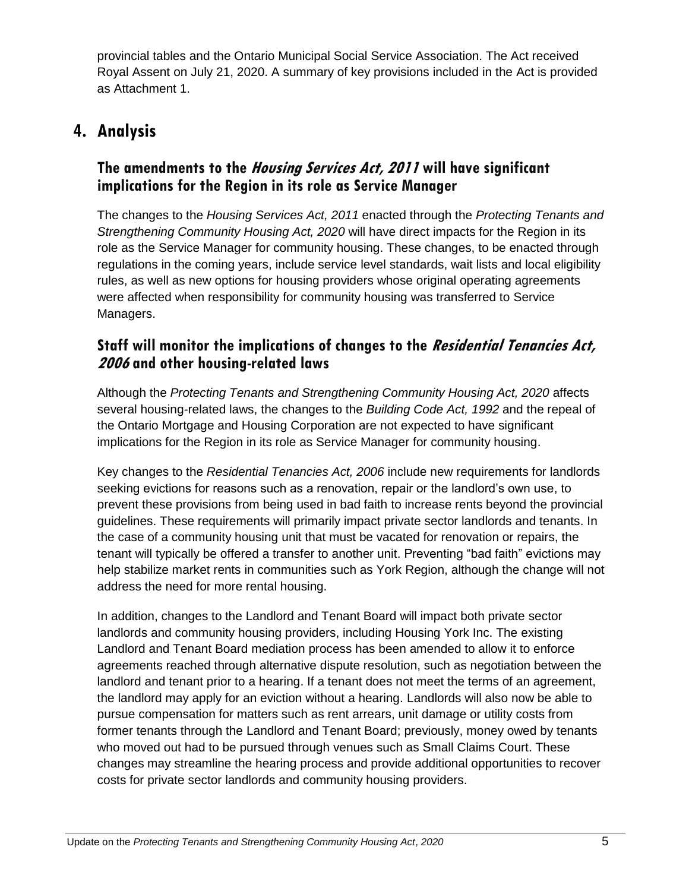provincial tables and the Ontario Municipal Social Service Association. The Act received Royal Assent on July 21, 2020. A summary of key provisions included in the Act is provided as Attachment 1.

# **4. Analysis**

#### **The amendments to the Housing Services Act, 2011 will have significant implications for the Region in its role as Service Manager**

The changes to the *Housing Services Act, 2011* enacted through the *Protecting Tenants and Strengthening Community Housing Act, 2020* will have direct impacts for the Region in its role as the Service Manager for community housing. These changes, to be enacted through regulations in the coming years, include service level standards, wait lists and local eligibility rules, as well as new options for housing providers whose original operating agreements were affected when responsibility for community housing was transferred to Service Managers.

#### **Staff will monitor the implications of changes to the Residential Tenancies Act, <sup>2006</sup>and other housing-related laws**

Although the *Protecting Tenants and Strengthening Community Housing Act, 2020* affects several housing-related laws, the changes to the *Building Code Act, 1992* and the repeal of the Ontario Mortgage and Housing Corporation are not expected to have significant implications for the Region in its role as Service Manager for community housing.

Key changes to the *Residential Tenancies Act, 2006* include new requirements for landlords seeking evictions for reasons such as a renovation, repair or the landlord's own use, to prevent these provisions from being used in bad faith to increase rents beyond the provincial guidelines. These requirements will primarily impact private sector landlords and tenants. In the case of a community housing unit that must be vacated for renovation or repairs, the tenant will typically be offered a transfer to another unit. Preventing "bad faith" evictions may help stabilize market rents in communities such as York Region, although the change will not address the need for more rental housing.

In addition, changes to the Landlord and Tenant Board will impact both private sector landlords and community housing providers, including Housing York Inc. The existing Landlord and Tenant Board mediation process has been amended to allow it to enforce agreements reached through alternative dispute resolution, such as negotiation between the landlord and tenant prior to a hearing. If a tenant does not meet the terms of an agreement, the landlord may apply for an eviction without a hearing. Landlords will also now be able to pursue compensation for matters such as rent arrears, unit damage or utility costs from former tenants through the Landlord and Tenant Board; previously, money owed by tenants who moved out had to be pursued through venues such as Small Claims Court. These changes may streamline the hearing process and provide additional opportunities to recover costs for private sector landlords and community housing providers.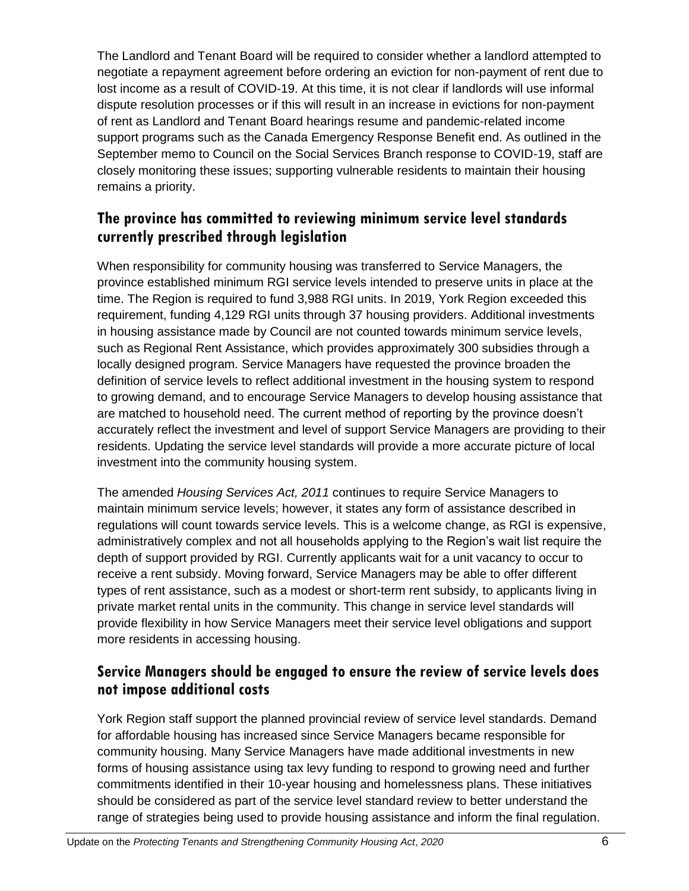The Landlord and Tenant Board will be required to consider whether a landlord attempted to negotiate a repayment agreement before ordering an eviction for non-payment of rent due to lost income as a result of COVID-19. At this time, it is not clear if landlords will use informal dispute resolution processes or if this will result in an increase in evictions for non-payment of rent as Landlord and Tenant Board hearings resume and pandemic-related income support programs such as the Canada Emergency Response Benefit end. As outlined in the September memo to Council on the Social Services Branch response to COVID-19, staff are closely monitoring these issues; supporting vulnerable residents to maintain their housing remains a priority.

#### **The province has committed to reviewing minimum service level standards currently prescribed through legislation**

When responsibility for community housing was transferred to Service Managers, the province established minimum RGI service levels intended to preserve units in place at the time. The Region is required to fund 3,988 RGI units. In 2019, York Region exceeded this requirement, funding 4,129 RGI units through 37 housing providers. Additional investments in housing assistance made by Council are not counted towards minimum service levels, such as Regional Rent Assistance, which provides approximately 300 subsidies through a locally designed program. Service Managers have requested the province broaden the definition of service levels to reflect additional investment in the housing system to respond to growing demand, and to encourage Service Managers to develop housing assistance that are matched to household need. The current method of reporting by the province doesn't accurately reflect the investment and level of support Service Managers are providing to their residents. Updating the service level standards will provide a more accurate picture of local investment into the community housing system.

The amended *Housing Services Act, 2011* continues to require Service Managers to maintain minimum service levels; however, it states any form of assistance described in regulations will count towards service levels. This is a welcome change, as RGI is expensive, administratively complex and not all households applying to the Region's wait list require the depth of support provided by RGI. Currently applicants wait for a unit vacancy to occur to receive a rent subsidy. Moving forward, Service Managers may be able to offer different types of rent assistance, such as a modest or short-term rent subsidy, to applicants living in private market rental units in the community. This change in service level standards will provide flexibility in how Service Managers meet their service level obligations and support more residents in accessing housing.

#### **Service Managers should be engaged to ensure the review of service levels does not impose additional costs**

York Region staff support the planned provincial review of service level standards. Demand for affordable housing has increased since Service Managers became responsible for community housing. Many Service Managers have made additional investments in new forms of housing assistance using tax levy funding to respond to growing need and further commitments identified in their 10-year housing and homelessness plans. These initiatives should be considered as part of the service level standard review to better understand the range of strategies being used to provide housing assistance and inform the final regulation.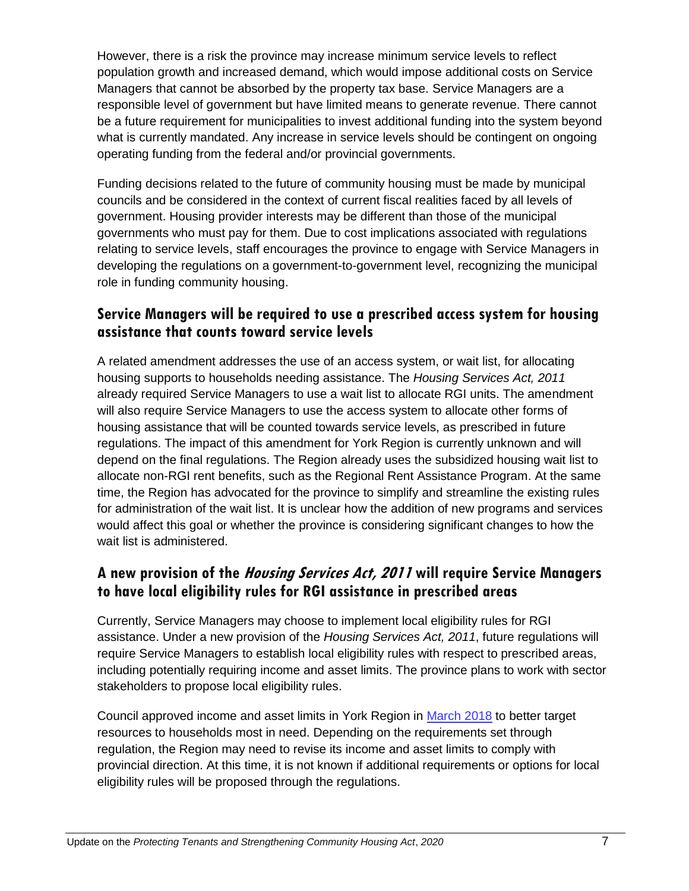However, there is a risk the province may increase minimum service levels to reflect population growth and increased demand, which would impose additional costs on Service Managers that cannot be absorbed by the property tax base. Service Managers are a responsible level of government but have limited means to generate revenue. There cannot be a future requirement for municipalities to invest additional funding into the system beyond what is currently mandated. Any increase in service levels should be contingent on ongoing operating funding from the federal and/or provincial governments.

Funding decisions related to the future of community housing must be made by municipal councils and be considered in the context of current fiscal realities faced by all levels of government. Housing provider interests may be different than those of the municipal governments who must pay for them. Due to cost implications associated with regulations relating to service levels, staff encourages the province to engage with Service Managers in developing the regulations on a government-to-government level, recognizing the municipal role in funding community housing.

#### **Service Managers will be required to use a prescribed access system for housing assistance that counts toward service levels**

A related amendment addresses the use of an access system, or wait list, for allocating housing supports to households needing assistance. The *Housing Services Act, 2011*  already required Service Managers to use a wait list to allocate RGI units. The amendment will also require Service Managers to use the access system to allocate other forms of housing assistance that will be counted towards service levels, as prescribed in future regulations. The impact of this amendment for York Region is currently unknown and will depend on the final regulations. The Region already uses the subsidized housing wait list to allocate non-RGI rent benefits, such as the Regional Rent Assistance Program. At the same time, the Region has advocated for the province to simplify and streamline the existing rules for administration of the wait list. It is unclear how the addition of new programs and services would affect this goal or whether the province is considering significant changes to how the wait list is administered.

#### **A new provision of the Housing Services Act, 2011 will require Service Managers to have local eligibility rules for RGI assistance in prescribed areas**

Currently, Service Managers may choose to implement local eligibility rules for RGI assistance. Under a new provision of the *Housing Services Act, 2011*, future regulations will require Service Managers to establish local eligibility rules with respect to prescribed areas, including potentially requiring income and asset limits. The province plans to work with sector stakeholders to propose local eligibility rules.

Council approved income and asset limits in York Region in [March 2018](https://www.york.ca/wps/wcm/connect/yorkpublic/819705cc-c72c-4dca-9d8e-83684089b5f9/mar+1+modernization+ex.pdf?MOD=AJPERES) to better target resources to households most in need. Depending on the requirements set through regulation, the Region may need to revise its income and asset limits to comply with provincial direction. At this time, it is not known if additional requirements or options for local eligibility rules will be proposed through the regulations.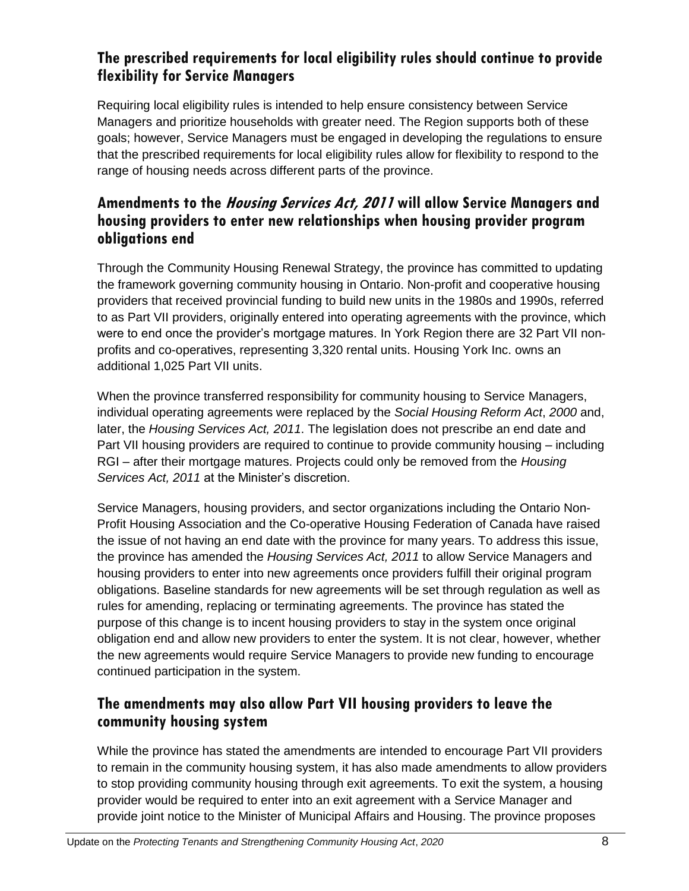#### **The prescribed requirements for local eligibility rules should continue to provide flexibility for Service Managers**

Requiring local eligibility rules is intended to help ensure consistency between Service Managers and prioritize households with greater need. The Region supports both of these goals; however, Service Managers must be engaged in developing the regulations to ensure that the prescribed requirements for local eligibility rules allow for flexibility to respond to the range of housing needs across different parts of the province.

#### **Amendments to the Housing Services Act, 2011 will allow Service Managers and housing providers to enter new relationships when housing provider program obligations end**

Through the Community Housing Renewal Strategy, the province has committed to updating the framework governing community housing in Ontario. Non-profit and cooperative housing providers that received provincial funding to build new units in the 1980s and 1990s, referred to as Part VII providers, originally entered into operating agreements with the province, which were to end once the provider's mortgage matures. In York Region there are 32 Part VII nonprofits and co-operatives, representing 3,320 rental units. Housing York Inc. owns an additional 1,025 Part VII units.

When the province transferred responsibility for community housing to Service Managers, individual operating agreements were replaced by the *Social Housing Reform Act*, *2000* and, later, the *Housing Services Act, 2011*. The legislation does not prescribe an end date and Part VII housing providers are required to continue to provide community housing – including RGI – after their mortgage matures. Projects could only be removed from the *Housing Services Act, 2011* at the Minister's discretion.

Service Managers, housing providers, and sector organizations including the Ontario Non-Profit Housing Association and the Co-operative Housing Federation of Canada have raised the issue of not having an end date with the province for many years. To address this issue, the province has amended the *Housing Services Act, 2011* to allow Service Managers and housing providers to enter into new agreements once providers fulfill their original program obligations. Baseline standards for new agreements will be set through regulation as well as rules for amending, replacing or terminating agreements. The province has stated the purpose of this change is to incent housing providers to stay in the system once original obligation end and allow new providers to enter the system. It is not clear, however, whether the new agreements would require Service Managers to provide new funding to encourage continued participation in the system.

#### **The amendments may also allow Part VII housing providers to leave the community housing system**

While the province has stated the amendments are intended to encourage Part VII providers to remain in the community housing system, it has also made amendments to allow providers to stop providing community housing through exit agreements. To exit the system, a housing provider would be required to enter into an exit agreement with a Service Manager and provide joint notice to the Minister of Municipal Affairs and Housing. The province proposes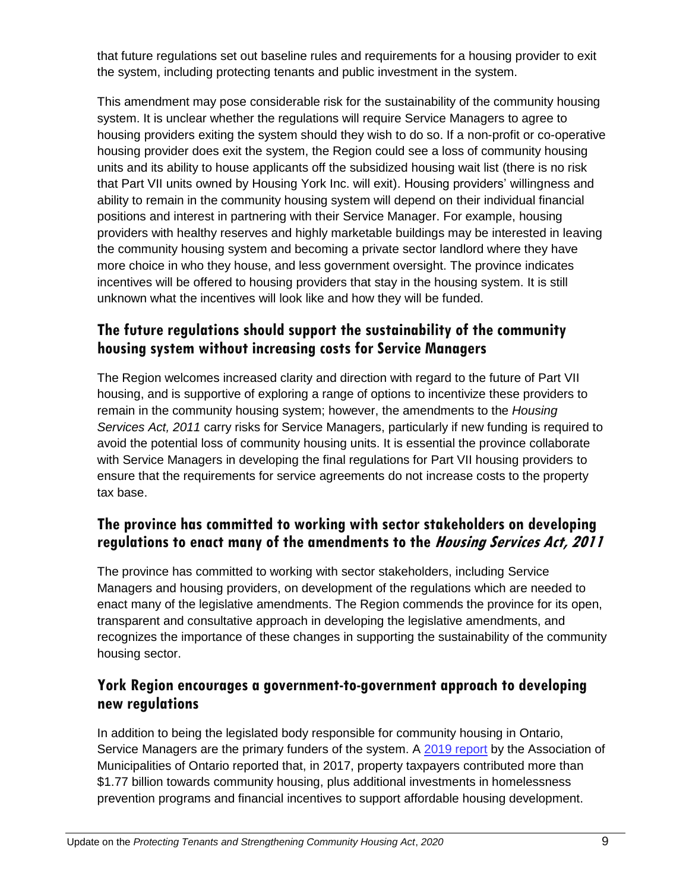that future regulations set out baseline rules and requirements for a housing provider to exit the system, including protecting tenants and public investment in the system.

This amendment may pose considerable risk for the sustainability of the community housing system. It is unclear whether the regulations will require Service Managers to agree to housing providers exiting the system should they wish to do so. If a non-profit or co-operative housing provider does exit the system, the Region could see a loss of community housing units and its ability to house applicants off the subsidized housing wait list (there is no risk that Part VII units owned by Housing York Inc. will exit). Housing providers' willingness and ability to remain in the community housing system will depend on their individual financial positions and interest in partnering with their Service Manager. For example, housing providers with healthy reserves and highly marketable buildings may be interested in leaving the community housing system and becoming a private sector landlord where they have more choice in who they house, and less government oversight. The province indicates incentives will be offered to housing providers that stay in the housing system. It is still unknown what the incentives will look like and how they will be funded.

#### **The future regulations should support the sustainability of the community housing system without increasing costs for Service Managers**

The Region welcomes increased clarity and direction with regard to the future of Part VII housing, and is supportive of exploring a range of options to incentivize these providers to remain in the community housing system; however, the amendments to the *Housing Services Act, 2011* carry risks for Service Managers, particularly if new funding is required to avoid the potential loss of community housing units. It is essential the province collaborate with Service Managers in developing the final regulations for Part VII housing providers to ensure that the requirements for service agreements do not increase costs to the property tax base.

#### **The province has committed to working with sector stakeholders on developing regulations to enact many of the amendments to the Housing Services Act, 2011**

The province has committed to working with sector stakeholders, including Service Managers and housing providers, on development of the regulations which are needed to enact many of the legislative amendments. The Region commends the province for its open, transparent and consultative approach in developing the legislative amendments, and recognizes the importance of these changes in supporting the sustainability of the community housing sector.

#### **York Region encourages a government-to-government approach to developing new regulations**

In addition to being the legislated body responsible for community housing in Ontario, Service Managers are the primary funders of the system. A [2019 report](https://www.amo.on.ca/AMO-PDFs/Reports/2019/Fixing-Housing-Affordability-Crisis-2019-08-14-RPT.aspx) by the Association of Municipalities of Ontario reported that, in 2017, property taxpayers contributed more than \$1.77 billion towards community housing, plus additional investments in homelessness prevention programs and financial incentives to support affordable housing development.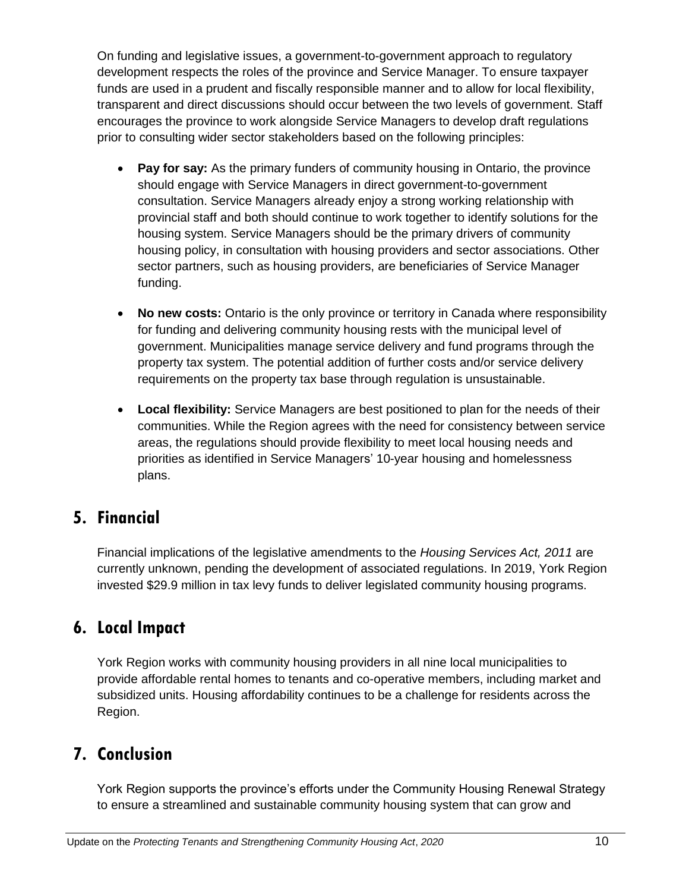On funding and legislative issues, a government-to-government approach to regulatory development respects the roles of the province and Service Manager. To ensure taxpayer funds are used in a prudent and fiscally responsible manner and to allow for local flexibility, transparent and direct discussions should occur between the two levels of government. Staff encourages the province to work alongside Service Managers to develop draft regulations prior to consulting wider sector stakeholders based on the following principles:

- **Pay for say:** As the primary funders of community housing in Ontario, the province should engage with Service Managers in direct government-to-government consultation. Service Managers already enjoy a strong working relationship with provincial staff and both should continue to work together to identify solutions for the housing system. Service Managers should be the primary drivers of community housing policy, in consultation with housing providers and sector associations. Other sector partners, such as housing providers, are beneficiaries of Service Manager funding.
- **No new costs:** Ontario is the only province or territory in Canada where responsibility for funding and delivering community housing rests with the municipal level of government. Municipalities manage service delivery and fund programs through the property tax system. The potential addition of further costs and/or service delivery requirements on the property tax base through regulation is unsustainable.
- **Local flexibility:** Service Managers are best positioned to plan for the needs of their communities. While the Region agrees with the need for consistency between service areas, the regulations should provide flexibility to meet local housing needs and priorities as identified in Service Managers' 10-year housing and homelessness plans.

## **5. Financial**

Financial implications of the legislative amendments to the *Housing Services Act, 2011* are currently unknown, pending the development of associated regulations. In 2019, York Region invested \$29.9 million in tax levy funds to deliver legislated community housing programs.

# **6. Local Impact**

York Region works with community housing providers in all nine local municipalities to provide affordable rental homes to tenants and co-operative members, including market and subsidized units. Housing affordability continues to be a challenge for residents across the Region.

## **7. Conclusion**

York Region supports the province's efforts under the Community Housing Renewal Strategy to ensure a streamlined and sustainable community housing system that can grow and